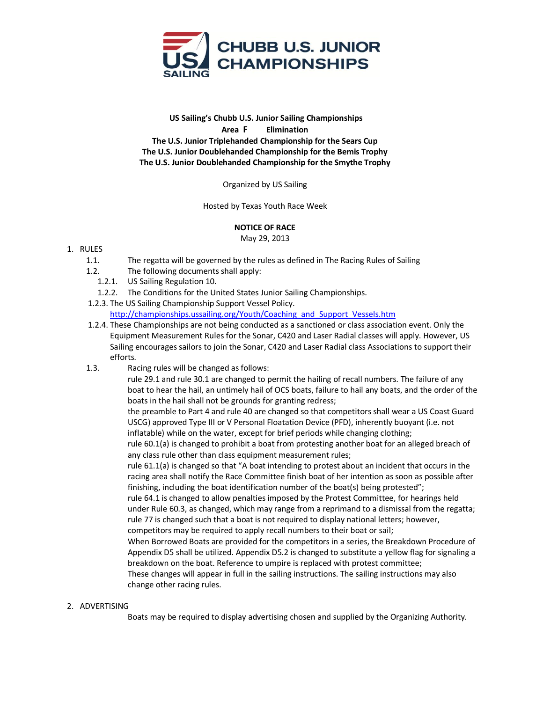

# **US Sailing's Chubb U.S. Junior Sailing Championships Area F Elimination The U.S. Junior Triplehanded Championship for the Sears Cup The U.S. Junior Doublehanded Championship for the Bemis Trophy The U.S. Junior Doublehanded Championship for the Smythe Trophy**

### Organized by US Sailing

#### Hosted by Texas Youth Race Week

# **NOTICE OF RACE**

May 29, 2013

### 1. RULES

- 1.1. The regatta will be governed by the rules as defined in The Racing Rules of Sailing
- 1.2. The following documents shall apply:
	- 1.2.1. US Sailing Regulation 10.
	- 1.2.2. The Conditions for the United States Junior Sailing Championships.
- 1.2.3. The US Sailing Championship Support Vessel Policy.

http://championships.ussailing.org/Youth/Coaching and Support Vessels.htm

- 1.2.4. These Championships are not being conducted as a sanctioned or class association event. Only the Equipment Measurement Rules for the Sonar, C420 and Laser Radial classes will apply. However, US Sailing encourages sailors to join the Sonar, C420 and Laser Radial class Associations to support their efforts.
- 1.3. Racing rules will be changed as follows:

rule 29.1 and rule 30.1 are changed to permit the hailing of recall numbers. The failure of any boat to hear the hail, an untimely hail of OCS boats, failure to hail any boats, and the order of the boats in the hail shall not be grounds for granting redress;

the preamble to Part 4 and rule 40 are changed so that competitors shall wear a US Coast Guard USCG) approved Type III or V Personal Floatation Device (PFD), inherently buoyant (i.e. not inflatable) while on the water, except for brief periods while changing clothing;

rule 60.1(a) is changed to prohibit a boat from protesting another boat for an alleged breach of any class rule other than class equipment measurement rules;

rule 61.1(a) is changed so that "A boat intending to protest about an incident that occurs in the racing area shall notify the Race Committee finish boat of her intention as soon as possible after finishing, including the boat identification number of the boat(s) being protested";

rule 64.1 is changed to allow penalties imposed by the Protest Committee, for hearings held under Rule 60.3, as changed, which may range from a reprimand to a dismissal from the regatta; rule 77 is changed such that a boat is not required to display national letters; however, competitors may be required to apply recall numbers to their boat or sail;

When Borrowed Boats are provided for the competitors in a series, the Breakdown Procedure of Appendix D5 shall be utilized. Appendix D5.2 is changed to substitute a yellow flag for signaling a breakdown on the boat. Reference to umpire is replaced with protest committee;

These changes will appear in full in the sailing instructions. The sailing instructions may also change other racing rules.

# 2. ADVERTISING

Boats may be required to display advertising chosen and supplied by the Organizing Authority.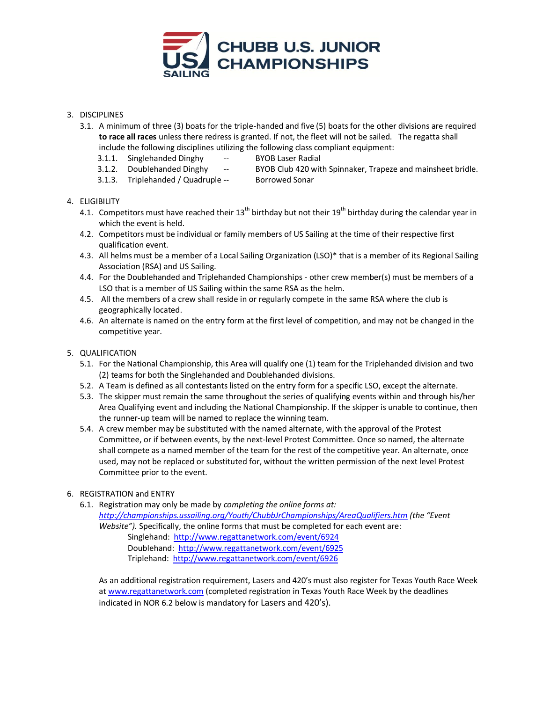

- 3. DISCIPLINES
	- 3.1. A minimum of three (3) boats for the triple-handed and five (5) boats for the other divisions are required **to race all races** unless there redress is granted. If not, the fleet will not be sailed. The regatta shall include the following disciplines utilizing the following class compliant equipment:
		- 3.1.1. Singlehanded Dinghy -- BYOB Laser Radial
			-
		- 3.1.2. Doublehanded Dinghy -- BYOB Club 420 with Spinnaker, Trapeze and mainsheet bridle.
- - 3.1.3. Triplehanded / Quadruple -- Borrowed Sonar
- 

- 4. ELIGIBILITY
	- 4.1. Competitors must have reached their  $13^{th}$  birthday but not their  $19^{th}$  birthday during the calendar year in which the event is held.
	- 4.2. Competitors must be individual or family members of US Sailing at the time of their respective first qualification event.
	- 4.3. All helms must be a member of a Local Sailing Organization (LSO)\* that is a member of its Regional Sailing Association (RSA) and US Sailing.
	- 4.4. For the Doublehanded and Triplehanded Championships other crew member(s) must be members of a LSO that is a member of US Sailing within the same RSA as the helm.
	- 4.5. All the members of a crew shall reside in or regularly compete in the same RSA where the club is geographically located.
	- 4.6. An alternate is named on the entry form at the first level of competition, and may not be changed in the competitive year.
- 5. QUALIFICATION
	- 5.1. For the National Championship, this Area will qualify one (1) team for the Triplehanded division and two (2) teams for both the Singlehanded and Doublehanded divisions.
	- 5.2. A Team is defined as all contestants listed on the entry form for a specific LSO, except the alternate.
	- 5.3. The skipper must remain the same throughout the series of qualifying events within and through his/her Area Qualifying event and including the National Championship. If the skipper is unable to continue, then the runner-up team will be named to replace the winning team.
	- 5.4. A crew member may be substituted with the named alternate, with the approval of the Protest Committee, or if between events, by the next-level Protest Committee. Once so named, the alternate shall compete as a named member of the team for the rest of the competitive year. An alternate, once used, may not be replaced or substituted for, without the written permission of the next level Protest Committee prior to the event.
- 6. REGISTRATION and ENTRY
	- 6.1. Registration may only be made by *completing the online forms at:*

*<http://championships.ussailing.org/Youth/ChubbJrChampionships/AreaQualifiers.htm> (the "Event Website").* Specifically, the online forms that must be completed for each event are:

Singlehand: <http://www.regattanetwork.com/event/6924> Doublehand: <http://www.regattanetwork.com/event/6925> Triplehand: <http://www.regattanetwork.com/event/6926>

As an additional registration requirement, Lasers and 420's must also register for Texas Youth Race Week at [www.regattanetwork.com](http://www.regattanetwork.com/) (completed registration in Texas Youth Race Week by the deadlines indicated in NOR 6.2 below is mandatory for Lasers and 420's).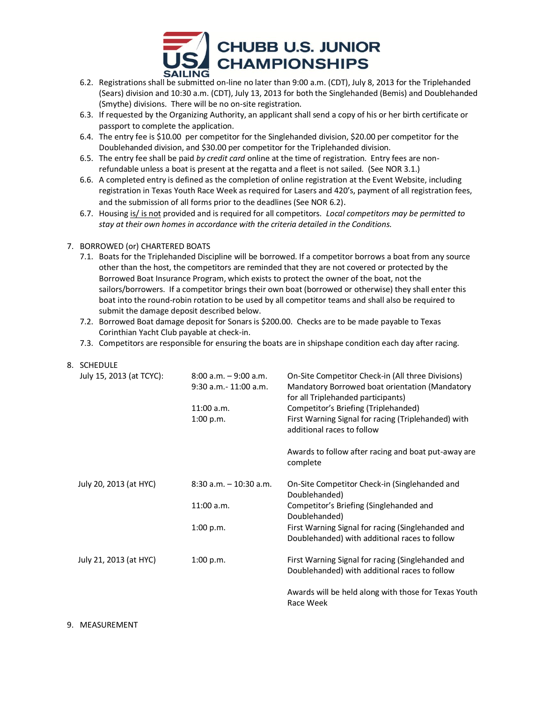

- 6.2. Registrations shall be submitted on-line no later than 9:00 a.m. (CDT), July 8, 2013 for the Triplehanded (Sears) division and 10:30 a.m. (CDT), July 13, 2013 for both the Singlehanded (Bemis) and Doublehanded (Smythe) divisions. There will be no on-site registration.
- 6.3. If requested by the Organizing Authority, an applicant shall send a copy of his or her birth certificate or passport to complete the application.
- 6.4. The entry fee is \$10.00 per competitor for the Singlehanded division, \$20.00 per competitor for the Doublehanded division, and \$30.00 per competitor for the Triplehanded division.
- 6.5. The entry fee shall be paid *by credit card* online at the time of registration. Entry fees are nonrefundable unless a boat is present at the regatta and a fleet is not sailed. (See NOR 3.1.)
- 6.6. A completed entry is defined as the completion of online registration at the Event Website, including registration in Texas Youth Race Week as required for Lasers and 420's, payment of all registration fees, and the submission of all forms prior to the deadlines (See NOR 6.2).
- 6.7. Housing is/ is not provided and is required for all competitors. *Local competitors may be permitted to stay at their own homes in accordance with the criteria detailed in the Conditions.*

# 7. BORROWED (or) CHARTERED BOATS

- 7.1. Boats for the Triplehanded Discipline will be borrowed. If a competitor borrows a boat from any source other than the host, the competitors are reminded that they are not covered or protected by the Borrowed Boat Insurance Program, which exists to protect the owner of the boat, not the sailors/borrowers. If a competitor brings their own boat (borrowed or otherwise) they shall enter this boat into the round-robin rotation to be used by all competitor teams and shall also be required to submit the damage deposit described below.
- 7.2. Borrowed Boat damage deposit for Sonars is \$200.00. Checks are to be made payable to Texas Corinthian Yacht Club payable at check-in.
- 7.3. Competitors are responsible for ensuring the boats are in shipshape condition each day after racing.

| 8. SCHEDULE              |                                                                      |                                                                                                                                                                                   |
|--------------------------|----------------------------------------------------------------------|-----------------------------------------------------------------------------------------------------------------------------------------------------------------------------------|
| July 15, 2013 (at TCYC): | $8:00$ a.m. $-9:00$ a.m.<br>$9:30$ a.m. - 11:00 a.m.<br>$11:00$ a.m. | On-Site Competitor Check-in (All three Divisions)<br>Mandatory Borrowed boat orientation (Mandatory<br>for all Triplehanded participants)<br>Competitor's Briefing (Triplehanded) |
|                          | 1:00 p.m.                                                            | First Warning Signal for racing (Triplehanded) with<br>additional races to follow                                                                                                 |
|                          |                                                                      | Awards to follow after racing and boat put-away are<br>complete                                                                                                                   |
| July 20, 2013 (at HYC)   | $8:30$ a.m. $-10:30$ a.m.                                            | On-Site Competitor Check-in (Singlehanded and<br>Doublehanded)                                                                                                                    |
|                          | $11:00$ a.m.                                                         | Competitor's Briefing (Singlehanded and<br>Doublehanded)                                                                                                                          |
|                          | 1:00 p.m.                                                            | First Warning Signal for racing (Singlehanded and<br>Doublehanded) with additional races to follow                                                                                |
| July 21, 2013 (at HYC)   | 1:00 p.m.                                                            | First Warning Signal for racing (Singlehanded and<br>Doublehanded) with additional races to follow                                                                                |
|                          |                                                                      | Awards will be held along with those for Texas Youth<br>Race Week                                                                                                                 |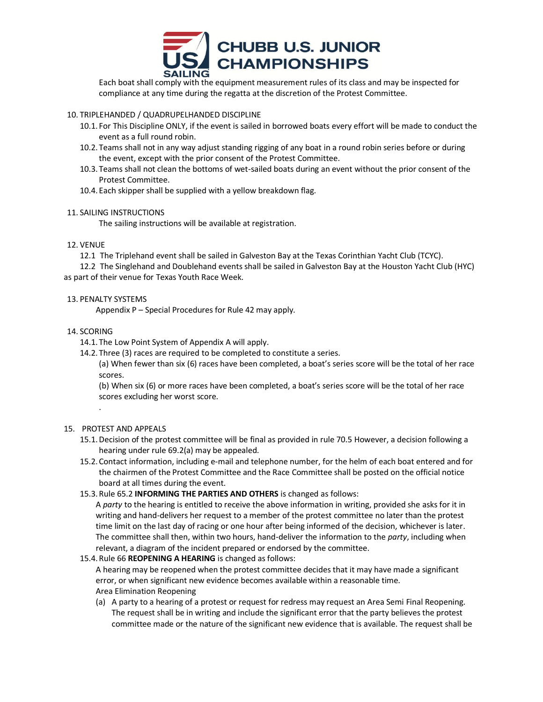

Each boat shall comply with the equipment measurement rules of its class and may be inspected for compliance at any time during the regatta at the discretion of the Protest Committee.

# 10. TRIPLEHANDED / QUADRUPELHANDED DISCIPLINE

- 10.1. For This Discipline ONLY, if the event is sailed in borrowed boats every effort will be made to conduct the event as a full round robin.
- 10.2. Teams shall not in any way adjust standing rigging of any boat in a round robin series before or during the event, except with the prior consent of the Protest Committee.
- 10.3. Teams shall not clean the bottoms of wet-sailed boats during an event without the prior consent of the Protest Committee.
- 10.4. Each skipper shall be supplied with a yellow breakdown flag.

### 11. SAILING INSTRUCTIONS

The sailing instructions will be available at registration.

#### 12. VENUE

12.1 The Triplehand event shall be sailed in Galveston Bay at the Texas Corinthian Yacht Club (TCYC).

12.2 The Singlehand and Doublehand events shall be sailed in Galveston Bay at the Houston Yacht Club (HYC) as part of their venue for Texas Youth Race Week.

#### 13. PENALTY SYSTEMS

Appendix P – Special Procedures for Rule 42 may apply.

### 14. SCORING

14.1. The Low Point System of Appendix A will apply.

14.2. Three (3) races are required to be completed to constitute a series.

(a) When fewer than six (6) races have been completed, a boat's series score will be the total of her race scores.

(b) When six (6) or more races have been completed, a boat's series score will be the total of her race scores excluding her worst score.

# 15. PROTEST AND APPEALS

.

- 15.1.Decision of the protest committee will be final as provided in rule 70.5 However, a decision following a hearing under rule 69.2(a) may be appealed.
- 15.2.Contact information, including e-mail and telephone number, for the helm of each boat entered and for the chairmen of the Protest Committee and the Race Committee shall be posted on the official notice board at all times during the event.

#### 15.3.Rule 65.2 **INFORMING THE PARTIES AND OTHERS** is changed as follows:

A *party* to the hearing is entitled to receive the above information in writing, provided she asks for it in writing and hand-delivers her request to a member of the protest committee no later than the protest time limit on the last day of racing or one hour after being informed of the decision, whichever is later. The committee shall then, within two hours, hand-deliver the information to the *party*, including when relevant, a diagram of the incident prepared or endorsed by the committee.

#### 15.4.Rule 66 **REOPENING A HEARING** is changed as follows:

A hearing may be reopened when the protest committee decides that it may have made a significant error, or when significant new evidence becomes available within a reasonable time. Area Elimination Reopening

(a) A party to a hearing of a protest or request for redress may request an Area Semi Final Reopening. The request shall be in writing and include the significant error that the party believes the protest committee made or the nature of the significant new evidence that is available. The request shall be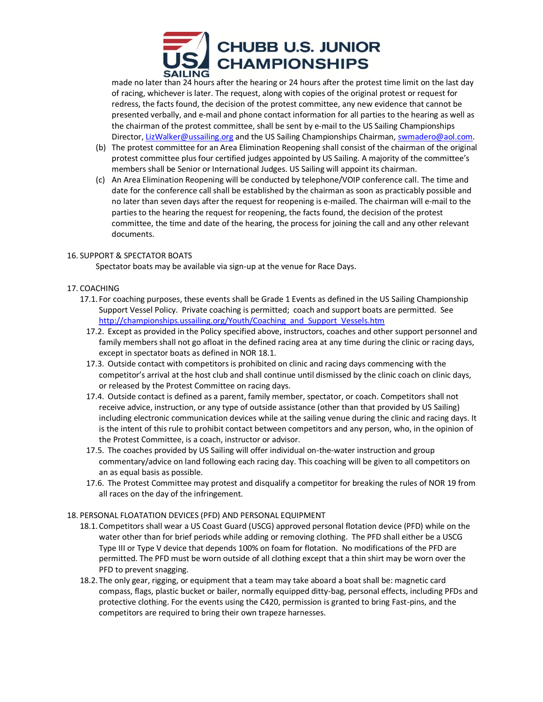

made no later than 24 hours after the hearing or 24 hours after the protest time limit on the last day of racing, whichever is later. The request, along with copies of the original protest or request for redress, the facts found, the decision of the protest committee, any new evidence that cannot be presented verbally, and e-mail and phone contact information for all parties to the hearing as well as the chairman of the protest committee, shall be sent by e-mail to the US Sailing Championships Director[, LizWalker@ussailing.org](mailto:LizWalker@ussailing.org) and the US Sailing Championships Chairman, [swmadero@aol.com.](mailto:swmadero@aol.com)

- (b) The protest committee for an Area Elimination Reopening shall consist of the chairman of the original protest committee plus four certified judges appointed by US Sailing. A majority of the committee's members shall be Senior or International Judges. US Sailing will appoint its chairman.
- (c) An Area Elimination Reopening will be conducted by telephone/VOIP conference call. The time and date for the conference call shall be established by the chairman as soon as practicably possible and no later than seven days after the request for reopening is e-mailed. The chairman will e-mail to the parties to the hearing the request for reopening, the facts found, the decision of the protest committee, the time and date of the hearing, the process for joining the call and any other relevant documents.

# 16. SUPPORT & SPECTATOR BOATS

Spectator boats may be available via sign-up at the venue for Race Days.

### 17. COACHING

- 17.1. For coaching purposes, these events shall be Grade 1 Events as defined in the US Sailing Championship Support Vessel Policy. Private coaching is permitted; coach and support boats are permitted. See [http://championships.ussailing.org/Youth/Coaching\\_and\\_Support\\_Vessels.htm](http://championships.ussailing.org/Youth/Coaching_and_Support_Vessels.htm)
	- 17.2. Except as provided in the Policy specified above, instructors, coaches and other support personnel and family members shall not go afloat in the defined racing area at any time during the clinic or racing days, except in spectator boats as defined in NOR 18.1.
	- 17.3. Outside contact with competitors is prohibited on clinic and racing days commencing with the competitor's arrival at the host club and shall continue until dismissed by the clinic coach on clinic days, or released by the Protest Committee on racing days.
- 17.4. Outside contact is defined as a parent, family member, spectator, or coach. Competitors shall not receive advice, instruction, or any type of outside assistance (other than that provided by US Sailing) including electronic communication devices while at the sailing venue during the clinic and racing days. It is the intent of this rule to prohibit contact between competitors and any person, who, in the opinion of the Protest Committee, is a coach, instructor or advisor.
- 17.5. The coaches provided by US Sailing will offer individual on-the-water instruction and group commentary/advice on land following each racing day. This coaching will be given to all competitors on an as equal basis as possible.
- 17.6. The Protest Committee may protest and disqualify a competitor for breaking the rules of NOR 19 from all races on the day of the infringement.

# 18. PERSONAL FLOATATION DEVICES (PFD) AND PERSONAL EQUIPMENT

- 18.1.Competitors shall wear a US Coast Guard (USCG) approved personal flotation device (PFD) while on the water other than for brief periods while adding or removing clothing. The PFD shall either be a USCG Type III or Type V device that depends 100% on foam for flotation. No modifications of the PFD are permitted. The PFD must be worn outside of all clothing except that a thin shirt may be worn over the PFD to prevent snagging.
- 18.2. The only gear, rigging, or equipment that a team may take aboard a boat shall be: magnetic card compass, flags, plastic bucket or bailer, normally equipped ditty-bag, personal effects, including PFDs and protective clothing. For the events using the C420, permission is granted to bring Fast-pins, and the competitors are required to bring their own trapeze harnesses.